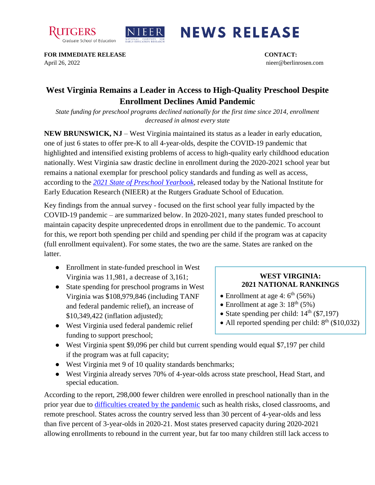



## **NEWS RELEASE**

**FOR IMMEDIATE RELEASE CONTACT:**  April 26, 2022 nieer@berlinrosen.com

## **West Virginia Remains a Leader in Access to High-Quality Preschool Despite Enrollment Declines Amid Pandemic**

*State funding for preschool programs declined nationally for the first time since 2014, enrollment decreased in almost every state*

**NEW BRUNSWICK, NJ** – West Virginia maintained its status as a leader in early education, one of just 6 states to offer pre-K to all 4-year-olds, despite the COVID-19 pandemic that highlighted and intensified existing problems of access to high-quality early childhood education nationally. West Virginia saw drastic decline in enrollment during the 2020-2021 school year but remains a national exemplar for preschool policy standards and funding as well as access, according to the *[2021 State of Preschool Yearbook,](https://nieer.org/state-preschool-yearbooks-yearbook2021)* released today by the National Institute for Early Education Research (NIEER) at the Rutgers Graduate School of Education.

Key findings from the annual survey - focused on the first school year fully impacted by the COVID-19 pandemic – are summarized below. In 2020-2021, many states funded preschool to maintain capacity despite unprecedented drops in enrollment due to the pandemic. To account for this, we report both spending per child and spending per child if the program was at capacity (full enrollment equivalent). For some states, the two are the same. States are ranked on the latter.

- Enrollment in state-funded preschool in West Virginia was 11,981, a decrease of 3,161;
- State spending for preschool programs in West Virginia was \$108,979,846 (including TANF and federal pandemic relief), an increase of \$10,349,422 (inflation adjusted);
- West Virginia used federal pandemic relief funding to support preschool;

## **WEST VIRGINIA: 2021 NATIONAL RANKINGS**

- Enrollment at age 4:  $6<sup>th</sup>$  (56%)
- Enrollment at age 3:  $18^{th}$  (5%)
- State spending per child:  $14<sup>th</sup>$  (\$7,197)
- All reported spending per child:  $8<sup>th</sup>$  (\$10,032)
- West Virginia spent \$9,096 per child but current spending would equal \$7,197 per child if the program was at full capacity;
- West Virginia met 9 of 10 quality standards benchmarks;
- West Virginia already serves 70% of 4-year-olds across state preschool, Head Start, and special education.

According to the report, 298,000 fewer children were enrolled in preschool nationally than in the prior year due to [difficulties created by the pandemic](https://nieer.org/wp-content/uploads/2021/02/NIEER_Seven_Impacts_of_the_Pandemic_on_Young_Children_and_their_Parents.pdf) such as health risks, closed classrooms, and remote preschool. States across the country served less than 30 percent of 4-year-olds and less than five percent of 3-year-olds in 2020-21. Most states preserved capacity during 2020-2021 allowing enrollments to rebound in the current year, but far too many children still lack access to